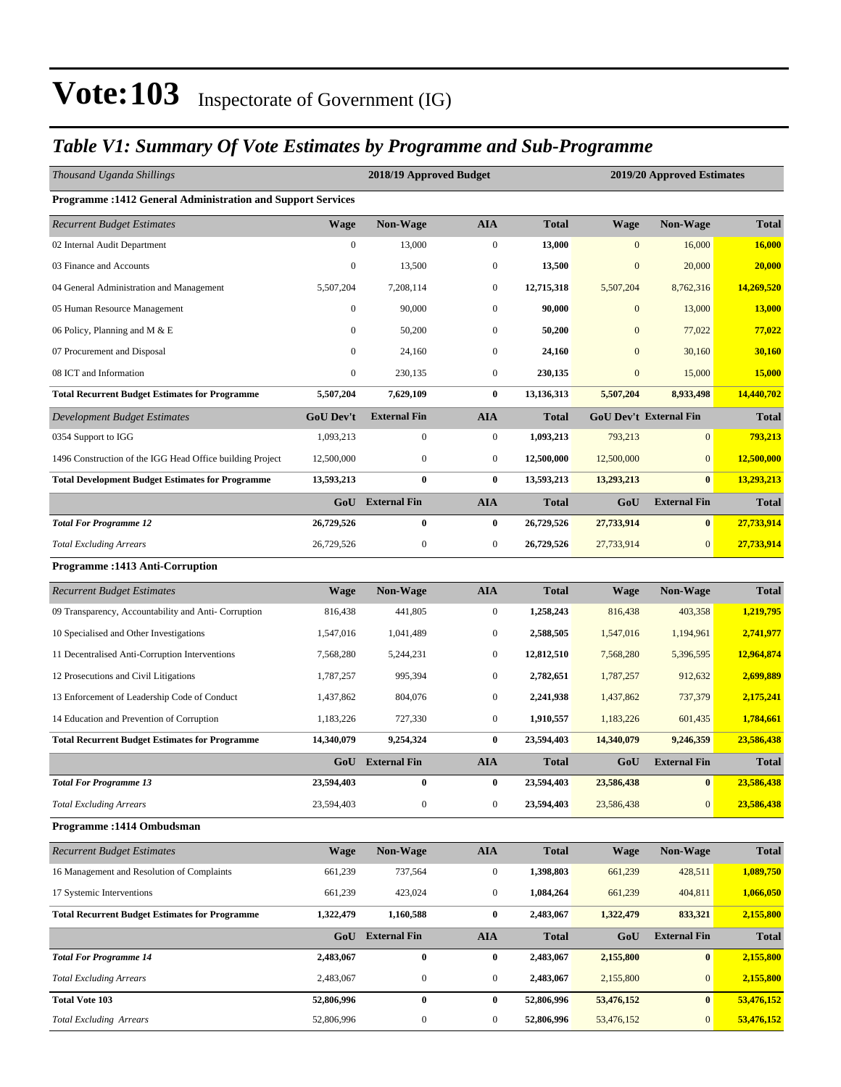## *Table V1: Summary Of Vote Estimates by Programme and Sub-Programme*

| Thousand Uganda Shillings                                    |                  | 2018/19 Approved Budget |                  |              | 2019/20 Approved Estimates |                               |              |  |  |  |
|--------------------------------------------------------------|------------------|-------------------------|------------------|--------------|----------------------------|-------------------------------|--------------|--|--|--|
| Programme : 1412 General Administration and Support Services |                  |                         |                  |              |                            |                               |              |  |  |  |
| <b>Recurrent Budget Estimates</b>                            | <b>Wage</b>      | Non-Wage                | <b>AIA</b>       | <b>Total</b> | <b>Wage</b>                | <b>Non-Wage</b>               | <b>Total</b> |  |  |  |
| 02 Internal Audit Department                                 | $\boldsymbol{0}$ | 13,000                  | $\boldsymbol{0}$ | 13,000       | $\boldsymbol{0}$           | 16,000                        | 16,000       |  |  |  |
| 03 Finance and Accounts                                      | $\boldsymbol{0}$ | 13,500                  | $\boldsymbol{0}$ | 13,500       | $\mathbf{0}$               | 20,000                        | 20,000       |  |  |  |
| 04 General Administration and Management                     | 5,507,204        | 7,208,114               | $\boldsymbol{0}$ | 12,715,318   | 5,507,204                  | 8,762,316                     | 14,269,520   |  |  |  |
| 05 Human Resource Management                                 | 0                | 90,000                  | $\mathbf{0}$     | 90,000       | $\overline{0}$             | 13,000                        | 13,000       |  |  |  |
| 06 Policy, Planning and M & E                                | $\boldsymbol{0}$ | 50,200                  | $\mathbf{0}$     | 50,200       | $\mathbf{0}$               | 77,022                        | 77,022       |  |  |  |
| 07 Procurement and Disposal                                  | $\boldsymbol{0}$ | 24,160                  | $\mathbf{0}$     | 24,160       | $\mathbf{0}$               | 30,160                        | 30,160       |  |  |  |
| 08 ICT and Information                                       | $\boldsymbol{0}$ | 230,135                 | $\mathbf{0}$     | 230,135      | $\boldsymbol{0}$           | 15,000                        | 15,000       |  |  |  |
| <b>Total Recurrent Budget Estimates for Programme</b>        | 5,507,204        | 7,629,109               | $\bf{0}$         | 13,136,313   | 5,507,204                  | 8,933,498                     | 14,440,702   |  |  |  |
| <b>Development Budget Estimates</b>                          | <b>GoU Dev't</b> | <b>External Fin</b>     | <b>AIA</b>       | <b>Total</b> |                            | <b>GoU Dev't External Fin</b> | <b>Total</b> |  |  |  |
| 0354 Support to IGG                                          | 1,093,213        | $\boldsymbol{0}$        | $\mathbf{0}$     | 1,093,213    | 793,213                    | $\mathbf{0}$                  | 793,213      |  |  |  |
| 1496 Construction of the IGG Head Office building Project    | 12,500,000       | $\boldsymbol{0}$        | $\mathbf{0}$     | 12,500,000   | 12,500,000                 | $\mathbf{0}$                  | 12,500,000   |  |  |  |
| <b>Total Development Budget Estimates for Programme</b>      | 13,593,213       | $\bf{0}$                | $\bf{0}$         | 13,593,213   | 13,293,213                 | $\bf{0}$                      | 13,293,213   |  |  |  |
|                                                              |                  | GoU External Fin        | <b>AIA</b>       | <b>Total</b> | GoU                        | <b>External Fin</b>           | <b>Total</b> |  |  |  |
| <b>Total For Programme 12</b>                                | 26,729,526       | $\bf{0}$                | $\bf{0}$         | 26,729,526   | 27,733,914                 | $\bf{0}$                      | 27,733,914   |  |  |  |
| <b>Total Excluding Arrears</b>                               | 26,729,526       | $\boldsymbol{0}$        | $\boldsymbol{0}$ | 26,729,526   | 27,733,914                 | $\mathbf{0}$                  | 27,733,914   |  |  |  |
| Programme: 1413 Anti-Corruption                              |                  |                         |                  |              |                            |                               |              |  |  |  |
| <b>Recurrent Budget Estimates</b>                            | <b>Wage</b>      | Non-Wage                | <b>AIA</b>       | <b>Total</b> | <b>Wage</b>                | Non-Wage                      | <b>Total</b> |  |  |  |
| 09 Transparency, Accountability and Anti- Corruption         | 816,438          | 441,805                 | $\boldsymbol{0}$ | 1,258,243    | 816,438                    | 403,358                       | 1,219,795    |  |  |  |
| 10 Specialised and Other Investigations                      | 1,547,016        | 1,041,489               | $\mathbf{0}$     | 2,588,505    | 1,547,016                  | 1,194,961                     | 2,741,977    |  |  |  |
| 11 Decentralised Anti-Corruption Interventions               | 7,568,280        | 5,244,231               | $\mathbf{0}$     | 12,812,510   | 7,568,280                  | 5,396,595                     | 12,964,874   |  |  |  |
| 12 Prosecutions and Civil Litigations                        | 1,787,257        | 995,394                 | $\mathbf{0}$     | 2,782,651    | 1,787,257                  | 912,632                       | 2,699,889    |  |  |  |
| 13 Enforcement of Leadership Code of Conduct                 | 1,437,862        | 804,076                 | $\boldsymbol{0}$ | 2,241,938    | 1,437,862                  | 737,379                       | 2,175,241    |  |  |  |
| 14 Education and Prevention of Corruption                    | 1,183,226        | 727,330                 | $\boldsymbol{0}$ | 1,910,557    | 1,183,226                  | 601,435                       | 1,784,661    |  |  |  |
| <b>Total Recurrent Budget Estimates for Programme</b>        | 14,340,079       | 9,254,324               | $\bf{0}$         | 23,594,403   | 14,340,079                 | 9,246,359                     | 23,586,438   |  |  |  |
|                                                              | GoU              | <b>External Fin</b>     | <b>AIA</b>       | <b>Total</b> | GoU                        | <b>External Fin</b>           | <b>Total</b> |  |  |  |
| <b>Total For Programme 13</b>                                | 23,594,403       | 0                       | 0                | 23,594,403   | 23,586,438                 | $\bf{0}$                      | 23,586,438   |  |  |  |
| <b>Total Excluding Arrears</b>                               | 23,594,403       | $\boldsymbol{0}$        | $\mathbf{0}$     | 23,594,403   | 23,586,438                 | $\mathbf{0}$                  | 23,586,438   |  |  |  |
| Programme: 1414 Ombudsman                                    |                  |                         |                  |              |                            |                               |              |  |  |  |
| <b>Recurrent Budget Estimates</b>                            | <b>Wage</b>      | Non-Wage                | <b>AIA</b>       | <b>Total</b> | <b>Wage</b>                | <b>Non-Wage</b>               | <b>Total</b> |  |  |  |
| 16 Management and Resolution of Complaints                   | 661,239          | 737,564                 | $\boldsymbol{0}$ | 1,398,803    | 661,239                    | 428,511                       | 1,089,750    |  |  |  |
| 17 Systemic Interventions                                    | 661,239          | 423,024                 | $\boldsymbol{0}$ | 1,084,264    | 661,239                    | 404,811                       | 1,066,050    |  |  |  |
| <b>Total Recurrent Budget Estimates for Programme</b>        | 1,322,479        | 1,160,588               | $\bf{0}$         | 2,483,067    | 1,322,479                  | 833,321                       | 2,155,800    |  |  |  |
|                                                              |                  | GoU External Fin        | ${\bf A I A}$    | <b>Total</b> | GoU                        | <b>External Fin</b>           | Total        |  |  |  |
| <b>Total For Programme 14</b>                                | 2,483,067        | $\bf{0}$                | $\bf{0}$         | 2,483,067    | 2,155,800                  | $\bf{0}$                      | 2,155,800    |  |  |  |
| <b>Total Excluding Arrears</b>                               | 2,483,067        | $\boldsymbol{0}$        | $\boldsymbol{0}$ | 2,483,067    | 2,155,800                  | $\boldsymbol{0}$              | 2,155,800    |  |  |  |
| <b>Total Vote 103</b>                                        | 52,806,996       | $\bf{0}$                | $\bf{0}$         | 52,806,996   | 53,476,152                 | $\bf{0}$                      | 53,476,152   |  |  |  |
| <b>Total Excluding Arrears</b>                               | 52,806,996       | $\boldsymbol{0}$        | $\boldsymbol{0}$ | 52,806,996   | 53,476,152                 | $\boldsymbol{0}$              | 53,476,152   |  |  |  |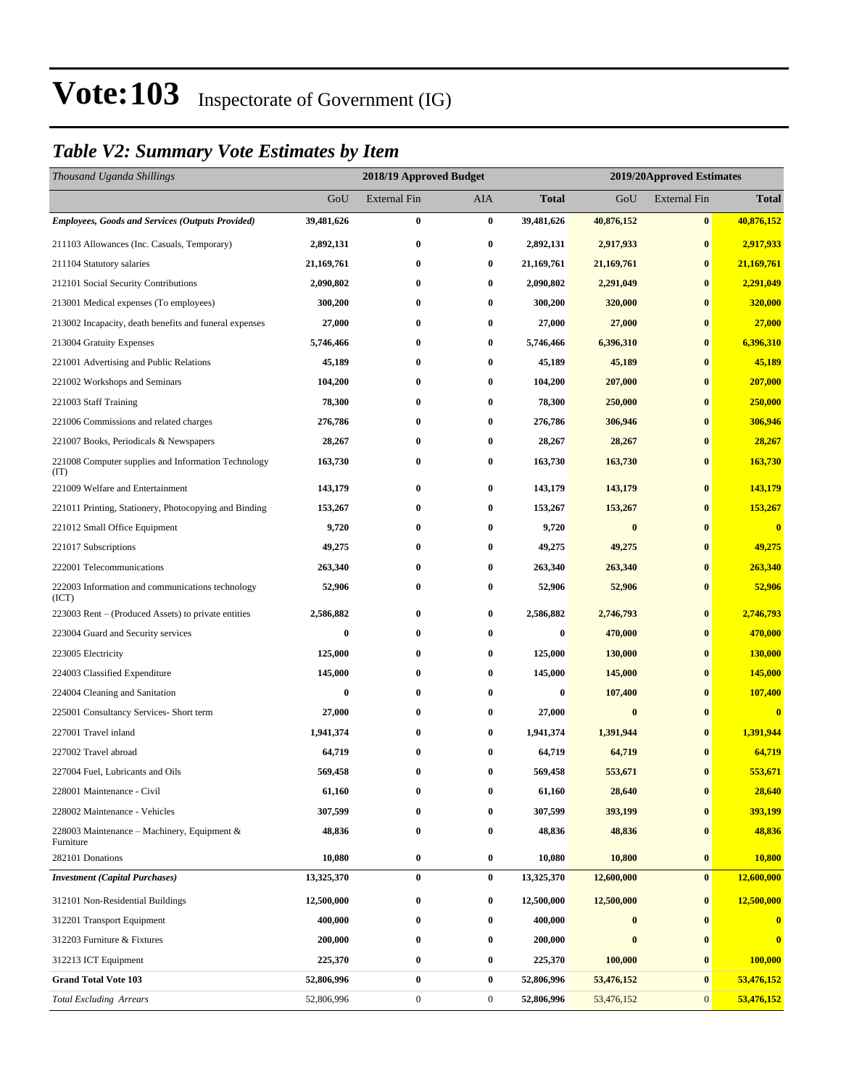## *Table V2: Summary Vote Estimates by Item*

| Thousand Uganda Shillings                                   |            | 2018/19 Approved Budget |                  |                  |                  | 2019/20Approved Estimates |                         |  |
|-------------------------------------------------------------|------------|-------------------------|------------------|------------------|------------------|---------------------------|-------------------------|--|
|                                                             | GoU        | <b>External Fin</b>     | <b>AIA</b>       | <b>Total</b>     | GoU              | <b>External Fin</b>       | <b>Total</b>            |  |
| <b>Employees, Goods and Services (Outputs Provided)</b>     | 39,481,626 | $\boldsymbol{0}$        | $\bf{0}$         | 39,481,626       | 40,876,152       | $\bf{0}$                  | 40,876,152              |  |
| 211103 Allowances (Inc. Casuals, Temporary)                 | 2,892,131  | $\bf{0}$                | $\bf{0}$         | 2,892,131        | 2,917,933        | $\bf{0}$                  | 2,917,933               |  |
| 211104 Statutory salaries                                   | 21,169,761 | 0                       | $\bf{0}$         | 21,169,761       | 21,169,761       | $\bf{0}$                  | 21,169,761              |  |
| 212101 Social Security Contributions                        | 2,090,802  | $\bf{0}$                | $\bf{0}$         | 2,090,802        | 2,291,049        | $\bf{0}$                  | 2,291,049               |  |
| 213001 Medical expenses (To employees)                      | 300,200    | 0                       | $\bf{0}$         | 300,200          | 320,000          | $\bf{0}$                  | 320,000                 |  |
| 213002 Incapacity, death benefits and funeral expenses      | 27,000     | $\bf{0}$                | $\bf{0}$         | 27,000           | 27,000           | $\bf{0}$                  | 27,000                  |  |
| 213004 Gratuity Expenses                                    | 5,746,466  | 0                       | $\bf{0}$         | 5,746,466        | 6,396,310        | $\bf{0}$                  | 6,396,310               |  |
| 221001 Advertising and Public Relations                     | 45,189     | 0                       | $\bf{0}$         | 45,189           | 45,189           | $\bf{0}$                  | 45,189                  |  |
| 221002 Workshops and Seminars                               | 104,200    | 0                       | $\bf{0}$         | 104,200          | 207,000          | $\bf{0}$                  | 207,000                 |  |
| 221003 Staff Training                                       | 78,300     | $\bf{0}$                | $\bf{0}$         | 78,300           | 250,000          | $\bf{0}$                  | 250,000                 |  |
| 221006 Commissions and related charges                      | 276,786    | $\bf{0}$                | $\bf{0}$         | 276,786          | 306,946          | $\bf{0}$                  | 306,946                 |  |
| 221007 Books, Periodicals & Newspapers                      | 28,267     | 0                       | $\bf{0}$         | 28,267           | 28,267           | $\bf{0}$                  | 28,267                  |  |
| 221008 Computer supplies and Information Technology<br>(TT) | 163,730    | 0                       | $\bf{0}$         | 163,730          | 163,730          | $\bf{0}$                  | 163,730                 |  |
| 221009 Welfare and Entertainment                            | 143,179    | $\bf{0}$                | $\bf{0}$         | 143,179          | 143,179          | $\bf{0}$                  | 143,179                 |  |
| 221011 Printing, Stationery, Photocopying and Binding       | 153,267    | $\boldsymbol{0}$        | $\bf{0}$         | 153,267          | 153,267          | $\bf{0}$                  | 153,267                 |  |
| 221012 Small Office Equipment                               | 9,720      | 0                       | $\bf{0}$         | 9,720            | $\bf{0}$         | $\bf{0}$                  | $\bf{0}$                |  |
| 221017 Subscriptions                                        | 49,275     | 0                       | $\bf{0}$         | 49,275           | 49,275           | $\bf{0}$                  | 49,275                  |  |
| 222001 Telecommunications                                   | 263,340    | $\bf{0}$                | $\bf{0}$         | 263,340          | 263,340          | $\bf{0}$                  | 263,340                 |  |
| 222003 Information and communications technology<br>(ICT)   | 52,906     | $\bf{0}$                | $\bf{0}$         | 52,906           | 52,906           | $\bf{0}$                  | 52,906                  |  |
| 223003 Rent – (Produced Assets) to private entities         | 2,586,882  | 0                       | $\bf{0}$         | 2,586,882        | 2,746,793        | $\bf{0}$                  | 2,746,793               |  |
| 223004 Guard and Security services                          | $\bf{0}$   | $\bf{0}$                | $\bf{0}$         | 0                | 470,000          | $\bf{0}$                  | 470,000                 |  |
| 223005 Electricity                                          | 125,000    | 0                       | $\bf{0}$         | 125,000          | 130,000          | $\bf{0}$                  | 130,000                 |  |
| 224003 Classified Expenditure                               | 145,000    | $\boldsymbol{0}$        | $\bf{0}$         | 145,000          | 145,000          | $\bf{0}$                  | 145,000                 |  |
| 224004 Cleaning and Sanitation                              | $\bf{0}$   | 0                       | $\bf{0}$         | $\boldsymbol{0}$ | 107,400          | $\bf{0}$                  | 107,400                 |  |
| 225001 Consultancy Services- Short term                     | 27,000     | 0                       | $\bf{0}$         | 27,000           | $\bf{0}$         | $\bf{0}$                  | $\bf{0}$                |  |
| 227001 Travel inland                                        | 1,941,374  | $\bf{0}$                | $\bf{0}$         | 1,941,374        | 1,391,944        | $\bf{0}$                  | 1,391,944               |  |
| 227002 Travel abroad                                        | 64,719     | 0                       | $\bf{0}$         | 64,719           | 64,719           | $\bf{0}$                  | 64,719                  |  |
| 227004 Fuel, Lubricants and Oils                            | 569,458    | $\bf{0}$                | $\bf{0}$         | 569,458          | 553,671          | $\bf{0}$                  | 553,671                 |  |
| 228001 Maintenance - Civil                                  | 61,160     | 0                       | $\bf{0}$         | 61,160           | 28,640           | $\bf{0}$                  | 28,640                  |  |
| 228002 Maintenance - Vehicles                               | 307,599    | 0                       | $\bf{0}$         | 307,599          | 393,199          | $\bf{0}$                  | 393,199                 |  |
| 228003 Maintenance – Machinery, Equipment $\&$<br>Furniture | 48,836     | $\boldsymbol{0}$        | $\bf{0}$         | 48,836           | 48,836           | $\bf{0}$                  | 48,836                  |  |
| 282101 Donations                                            | 10,080     | $\boldsymbol{0}$        | $\bf{0}$         | 10,080           | 10,800           | $\bf{0}$                  | 10,800                  |  |
| <b>Investment</b> (Capital Purchases)                       | 13,325,370 | $\bf{0}$                | $\bf{0}$         | 13,325,370       | 12,600,000       | $\bf{0}$                  | 12,600,000              |  |
| 312101 Non-Residential Buildings                            | 12,500,000 | $\bf{0}$                | $\bf{0}$         | 12,500,000       | 12,500,000       | $\bf{0}$                  | 12,500,000              |  |
| 312201 Transport Equipment                                  | 400,000    | $\boldsymbol{0}$        | $\bf{0}$         | 400,000          | $\boldsymbol{0}$ | $\bf{0}$                  | $\bf{0}$                |  |
| 312203 Furniture & Fixtures                                 | 200,000    | $\bf{0}$                | $\bf{0}$         | 200,000          | $\bf{0}$         | $\bf{0}$                  | $\overline{\mathbf{0}}$ |  |
| 312213 ICT Equipment                                        | 225,370    | $\bf{0}$                | $\bf{0}$         | 225,370          | 100,000          | $\bf{0}$                  | 100,000                 |  |
| <b>Grand Total Vote 103</b>                                 | 52,806,996 | $\bf{0}$                | $\bf{0}$         | 52,806,996       | 53,476,152       | $\bf{0}$                  | 53,476,152              |  |
| <b>Total Excluding Arrears</b>                              | 52,806,996 | $\boldsymbol{0}$        | $\boldsymbol{0}$ | 52,806,996       | 53,476,152       | $\mathbf{0}$              | 53,476,152              |  |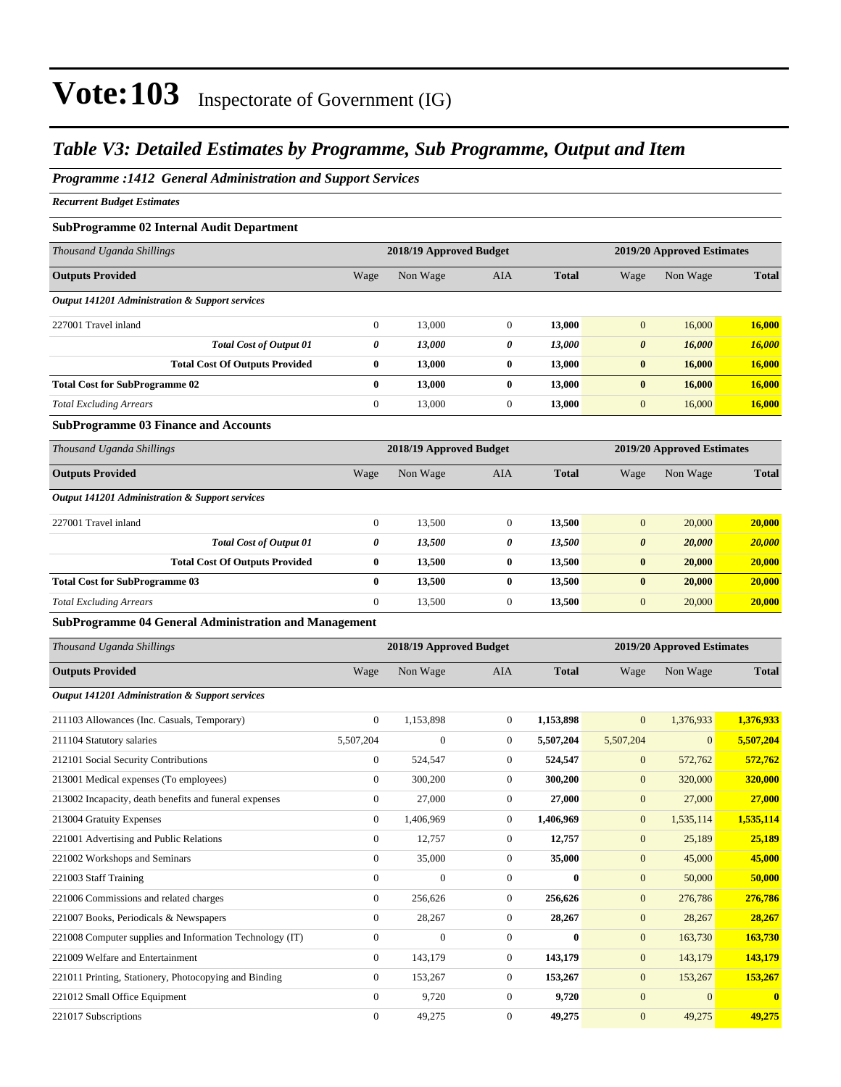## *Table V3: Detailed Estimates by Programme, Sub Programme, Output and Item*

### *Programme :1412 General Administration and Support Services*

*Recurrent Budget Estimates*

### **SubProgramme 02 Internal Audit Department**

| Thousand Uganda Shillings                                    |                  | 2018/19 Approved Budget |                  |              |                       | 2019/20 Approved Estimates |              |  |  |
|--------------------------------------------------------------|------------------|-------------------------|------------------|--------------|-----------------------|----------------------------|--------------|--|--|
| <b>Outputs Provided</b>                                      | Wage             | Non Wage                | AIA              | <b>Total</b> | Wage                  | Non Wage                   | <b>Total</b> |  |  |
| <b>Output 141201 Administration &amp; Support services</b>   |                  |                         |                  |              |                       |                            |              |  |  |
| 227001 Travel inland                                         | $\boldsymbol{0}$ | 13,000                  | $\boldsymbol{0}$ | 13,000       | $\mathbf{0}$          | 16,000                     | 16,000       |  |  |
| <b>Total Cost of Output 01</b>                               | 0                | 13,000                  | 0                | 13,000       | $\boldsymbol{\theta}$ | 16,000                     | 16,000       |  |  |
| <b>Total Cost Of Outputs Provided</b>                        | $\bf{0}$         | 13,000                  | 0                | 13,000       | $\bf{0}$              | 16,000                     | 16,000       |  |  |
| <b>Total Cost for SubProgramme 02</b>                        | $\bf{0}$         | 13,000                  | 0                | 13,000       | $\bf{0}$              | 16,000                     | 16,000       |  |  |
| <b>Total Excluding Arrears</b>                               | $\boldsymbol{0}$ | 13,000                  | $\boldsymbol{0}$ | 13,000       | $\boldsymbol{0}$      | 16,000                     | 16,000       |  |  |
| <b>SubProgramme 03 Finance and Accounts</b>                  |                  |                         |                  |              |                       |                            |              |  |  |
| Thousand Uganda Shillings                                    |                  | 2018/19 Approved Budget |                  |              |                       | 2019/20 Approved Estimates |              |  |  |
| <b>Outputs Provided</b>                                      | Wage             | Non Wage                | AIA              | <b>Total</b> | Wage                  | Non Wage                   | <b>Total</b> |  |  |
| <b>Output 141201 Administration &amp; Support services</b>   |                  |                         |                  |              |                       |                            |              |  |  |
| 227001 Travel inland                                         | $\boldsymbol{0}$ | 13,500                  | $\boldsymbol{0}$ | 13,500       | $\mathbf{0}$          | 20,000                     | 20,000       |  |  |
| <b>Total Cost of Output 01</b>                               | 0                | 13,500                  | 0                | 13,500       | $\boldsymbol{\theta}$ | 20,000                     | 20,000       |  |  |
| <b>Total Cost Of Outputs Provided</b>                        | $\bf{0}$         | 13,500                  | 0                | 13,500       | $\bf{0}$              | 20,000                     | 20,000       |  |  |
| <b>Total Cost for SubProgramme 03</b>                        | $\bf{0}$         | 13,500                  | 0                | 13,500       | $\bf{0}$              | 20,000                     | 20,000       |  |  |
| <b>Total Excluding Arrears</b>                               | $\boldsymbol{0}$ | 13,500                  | $\boldsymbol{0}$ | 13,500       | $\mathbf{0}$          | 20,000                     | 20,000       |  |  |
| <b>SubProgramme 04 General Administration and Management</b> |                  |                         |                  |              |                       |                            |              |  |  |
| Thousand Uganda Shillings                                    |                  | 2018/19 Approved Budget |                  |              |                       | 2019/20 Approved Estimates |              |  |  |
| <b>Outputs Provided</b>                                      | Wage             | Non Wage                | AIA              | <b>Total</b> | Wage                  | Non Wage                   | <b>Total</b> |  |  |
| <b>Output 141201 Administration &amp; Support services</b>   |                  |                         |                  |              |                       |                            |              |  |  |
| 211103 Allowances (Inc. Casuals, Temporary)                  | $\boldsymbol{0}$ | 1,153,898               | $\boldsymbol{0}$ | 1,153,898    | $\mathbf{0}$          | 1,376,933                  | 1,376,933    |  |  |
| 211104 Statutory salaries                                    | 5,507,204        | $\mathbf{0}$            | $\boldsymbol{0}$ | 5,507,204    | 5,507,204             | $\mathbf{0}$               | 5,507,204    |  |  |
| 212101 Social Security Contributions                         | $\boldsymbol{0}$ | 524,547                 | $\boldsymbol{0}$ | 524,547      | $\mathbf{0}$          | 572,762                    | 572,762      |  |  |
| 213001 Medical expenses (To employees)                       | $\boldsymbol{0}$ | 300,200                 | $\boldsymbol{0}$ | 300,200      | $\mathbf{0}$          | 320,000                    | 320,000      |  |  |
| 213002 Incapacity, death benefits and funeral expenses       | $\boldsymbol{0}$ | 27,000                  | $\boldsymbol{0}$ | 27,000       | $\mathbf{0}$          | 27,000                     | 27,000       |  |  |
| 213004 Gratuity Expenses                                     | $\boldsymbol{0}$ | 1,406,969               | $\boldsymbol{0}$ | 1,406,969    | $\mathbf{0}$          | 1,535,114                  | 1,535,114    |  |  |
| 221001 Advertising and Public Relations                      | $\boldsymbol{0}$ | 12,757                  | $\boldsymbol{0}$ | 12,757       | $\mathbf{0}$          | 25,189                     | 25,189       |  |  |
| 221002 Workshops and Seminars                                | 0                | 35,000                  | $\boldsymbol{0}$ | 35,000       | $\mathbf{0}$          | 45,000                     | 45,000       |  |  |
| 221003 Staff Training                                        | $\boldsymbol{0}$ | $\overline{0}$          | $\boldsymbol{0}$ | $\bf{0}$     | $\boldsymbol{0}$      | 50,000                     | 50,000       |  |  |
| 221006 Commissions and related charges                       | $\boldsymbol{0}$ | 256,626                 | $\boldsymbol{0}$ | 256,626      | $\mathbf{0}$          | 276,786                    | 276,786      |  |  |
| 221007 Books, Periodicals & Newspapers                       | $\boldsymbol{0}$ | 28,267                  | $\boldsymbol{0}$ | 28,267       | $\mathbf{0}$          | 28,267                     | 28,267       |  |  |
| 221008 Computer supplies and Information Technology (IT)     | $\boldsymbol{0}$ | $\boldsymbol{0}$        | $\boldsymbol{0}$ | $\bf{0}$     | $\boldsymbol{0}$      | 163,730                    | 163,730      |  |  |
| 221009 Welfare and Entertainment                             | $\boldsymbol{0}$ | 143,179                 | $\boldsymbol{0}$ | 143,179      | $\mathbf{0}$          | 143,179                    | 143,179      |  |  |
| 221011 Printing, Stationery, Photocopying and Binding        | $\boldsymbol{0}$ | 153,267                 | $\boldsymbol{0}$ | 153,267      | $\mathbf{0}$          | 153,267                    | 153,267      |  |  |
| 221012 Small Office Equipment                                | $\boldsymbol{0}$ | 9,720                   | $\boldsymbol{0}$ | 9,720        | $\mathbf{0}$          | $\mathbf{0}$               | $\bf{0}$     |  |  |
| 221017 Subscriptions                                         | $\boldsymbol{0}$ | 49,275                  | $\boldsymbol{0}$ | 49,275       | $\mathbf{0}$          | 49,275                     | 49,275       |  |  |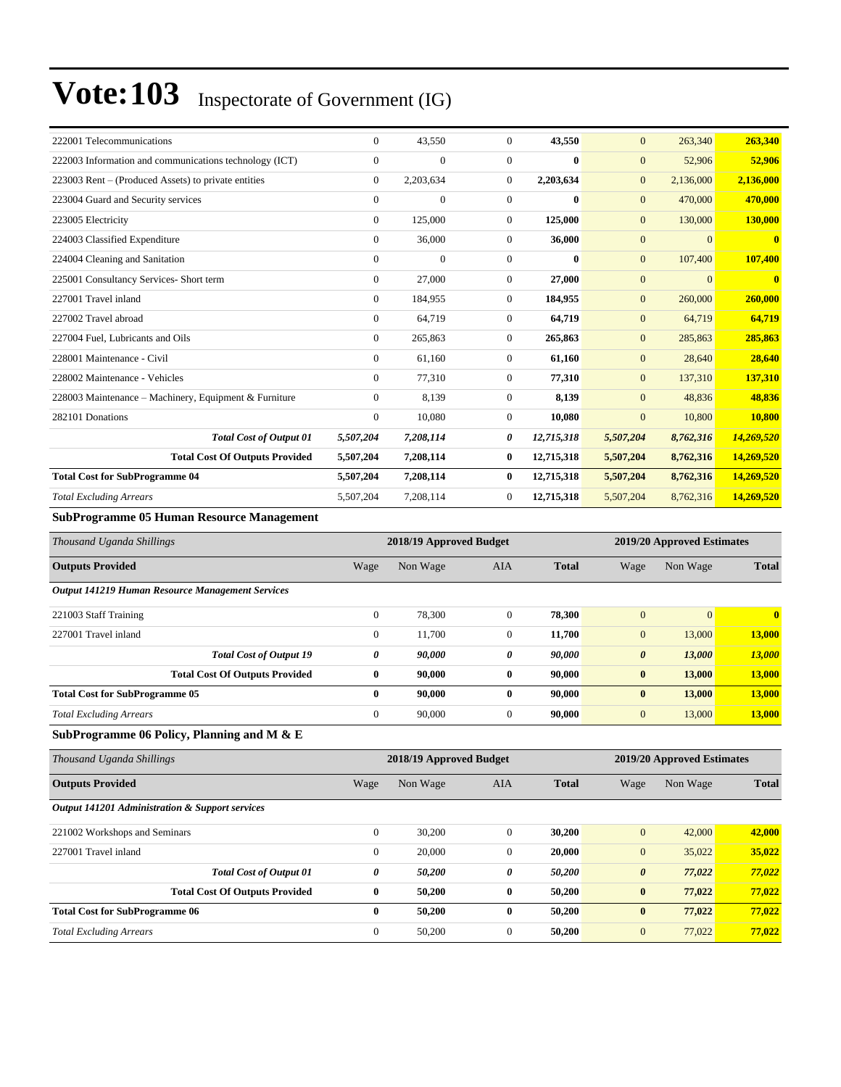| 222001 Telecommunications                              | $\overline{0}$ | 43,550       | $\overline{0}$ | 43,550       | $\mathbf{0}$   | 263,340        | 263,340                 |
|--------------------------------------------------------|----------------|--------------|----------------|--------------|----------------|----------------|-------------------------|
| 222003 Information and communications technology (ICT) | $\mathbf{0}$   | $\mathbf{0}$ | $\mathbf{0}$   | $\bf{0}$     | $\mathbf{0}$   | 52,906         | 52,906                  |
| 223003 Rent – (Produced Assets) to private entities    | $\mathbf{0}$   | 2,203,634    | $\mathbf{0}$   | 2,203,634    | $\mathbf{0}$   | 2,136,000      | 2,136,000               |
| 223004 Guard and Security services                     | $\mathbf{0}$   | $\mathbf{0}$ | $\mathbf{0}$   | $\bf{0}$     | $\mathbf{0}$   | 470,000        | 470,000                 |
| 223005 Electricity                                     | $\mathbf{0}$   | 125,000      | $\mathbf{0}$   | 125,000      | $\mathbf{0}$   | 130,000        | 130,000                 |
| 224003 Classified Expenditure                          | $\mathbf{0}$   | 36,000       | $\Omega$       | 36,000       | $\mathbf{0}$   | $\overline{0}$ | $\overline{\mathbf{0}}$ |
| 224004 Cleaning and Sanitation                         | $\overline{0}$ | $\mathbf{0}$ | $\mathbf{0}$   | $\mathbf{0}$ | $\mathbf{0}$   | 107,400        | 107,400                 |
| 225001 Consultancy Services- Short term                | $\mathbf{0}$   | 27,000       | $\mathbf{0}$   | 27,000       | $\overline{0}$ | $\overline{0}$ | $\mathbf{0}$            |
| 227001 Travel inland                                   | $\Omega$       | 184,955      | $\Omega$       | 184,955      | $\mathbf{0}$   | 260,000        | 260,000                 |
| 227002 Travel abroad                                   | $\mathbf{0}$   | 64,719       | $\mathbf{0}$   | 64,719       | $\mathbf{0}$   | 64,719         | 64,719                  |
| 227004 Fuel, Lubricants and Oils                       | $\Omega$       | 265,863      | $\Omega$       | 265,863      | $\mathbf{0}$   | 285,863        | 285,863                 |
| 228001 Maintenance - Civil                             | $\mathbf{0}$   | 61,160       | $\mathbf{0}$   | 61,160       | $\mathbf{0}$   | 28,640         | 28,640                  |
| 228002 Maintenance - Vehicles                          | $\Omega$       | 77,310       | $\mathbf{0}$   | 77,310       | $\mathbf{0}$   | 137,310        | 137,310                 |
| 228003 Maintenance – Machinery, Equipment & Furniture  | $\overline{0}$ | 8,139        | $\mathbf{0}$   | 8,139        | $\mathbf{0}$   | 48.836         | 48,836                  |
| 282101 Donations                                       | $\mathbf{0}$   | 10,080       | $\mathbf{0}$   | 10,080       | $\mathbf{0}$   | 10,800         | 10,800                  |
| <b>Total Cost of Output 01</b>                         | 5,507,204      | 7,208,114    | 0              | 12,715,318   | 5,507,204      | 8,762,316      | 14,269,520              |
| <b>Total Cost Of Outputs Provided</b>                  | 5,507,204      | 7,208,114    | $\bf{0}$       | 12,715,318   | 5,507,204      | 8,762,316      | 14,269,520              |
| <b>Total Cost for SubProgramme 04</b>                  | 5,507,204      | 7,208,114    | $\bf{0}$       | 12,715,318   | 5,507,204      | 8,762,316      | 14,269,520              |
| <b>Total Excluding Arrears</b>                         | 5,507,204      | 7,208,114    | $\mathbf{0}$   | 12,715,318   | 5,507,204      | 8,762,316      | 14,269,520              |
|                                                        |                |              |                |              |                |                |                         |

### **SubProgramme 05 Human Resource Management**

| Thousand Uganda Shillings                                            |                | 2018/19 Approved Budget |                |              | 2019/20 Approved Estimates |          |              |  |  |
|----------------------------------------------------------------------|----------------|-------------------------|----------------|--------------|----------------------------|----------|--------------|--|--|
| <b>Outputs Provided</b>                                              | Wage           | Non Wage                | AIA            | <b>Total</b> | Wage                       | Non Wage | <b>Total</b> |  |  |
| Output 141219 Human Resource Management Services                     |                |                         |                |              |                            |          |              |  |  |
| 221003 Staff Training                                                | $\overline{0}$ | 78,300                  | $\Omega$       | 78,300       | $\mathbf{0}$               | $\Omega$ | $\mathbf{0}$ |  |  |
| 227001 Travel inland                                                 | $\overline{0}$ | 11,700                  | $\mathbf{0}$   | 11,700       | $\mathbf{0}$               | 13,000   | 13,000       |  |  |
| <b>Total Cost of Output 19</b>                                       | 0              | 90,000                  | 0              | 90,000       | $\boldsymbol{\theta}$      | 13,000   | 13,000       |  |  |
| <b>Total Cost Of Outputs Provided</b>                                | $\bf{0}$       | 90,000                  | $\bf{0}$       | 90,000       | $\bf{0}$                   | 13,000   | 13,000       |  |  |
| <b>Total Cost for SubProgramme 05</b>                                | $\bf{0}$       | 90,000                  | 0              | 90.000       | $\bf{0}$                   | 13,000   | 13,000       |  |  |
| <b>Total Excluding Arrears</b>                                       | $\theta$       | 90,000                  | $\overline{0}$ | 90,000       | $\boldsymbol{0}$           | 13,000   | 13,000       |  |  |
| $\mathbb{R}$ uh Programma 06 Policy Planning and M $\mathcal{R}_r$ F |                |                         |                |              |                            |          |              |  |  |

### **SubProgramme 06 Policy, Planning and M & E**

| Thousand Uganda Shillings                       | 2018/19 Approved Budget<br>2019/20 Approved Estimates |          |              |              |                       |          |              |
|-------------------------------------------------|-------------------------------------------------------|----------|--------------|--------------|-----------------------|----------|--------------|
| <b>Outputs Provided</b>                         | Wage                                                  | Non Wage | <b>AIA</b>   | <b>Total</b> | Wage                  | Non Wage | <b>Total</b> |
| Output 141201 Administration & Support services |                                                       |          |              |              |                       |          |              |
| 221002 Workshops and Seminars                   | $\theta$                                              | 30,200   | $\mathbf{0}$ | 30,200       | $\mathbf{0}$          | 42,000   | 42,000       |
| 227001 Travel inland                            | $\overline{0}$                                        | 20,000   | $\mathbf{0}$ | 20,000       | $\mathbf{0}$          | 35,022   | 35,022       |
| <b>Total Cost of Output 01</b>                  | $\boldsymbol{\theta}$                                 | 50,200   | 0            | 50,200       | $\boldsymbol{\theta}$ | 77,022   | 77,022       |
| <b>Total Cost Of Outputs Provided</b>           | $\bf{0}$                                              | 50,200   | $\bf{0}$     | 50,200       | $\bf{0}$              | 77,022   | 77,022       |
| <b>Total Cost for SubProgramme 06</b>           | $\bf{0}$                                              | 50,200   | $\bf{0}$     | 50,200       | $\bf{0}$              | 77,022   | 77,022       |
| <b>Total Excluding Arrears</b>                  | $\mathbf{0}$                                          | 50,200   | $\mathbf{0}$ | 50,200       | $\mathbf{0}$          | 77,022   | 77,022       |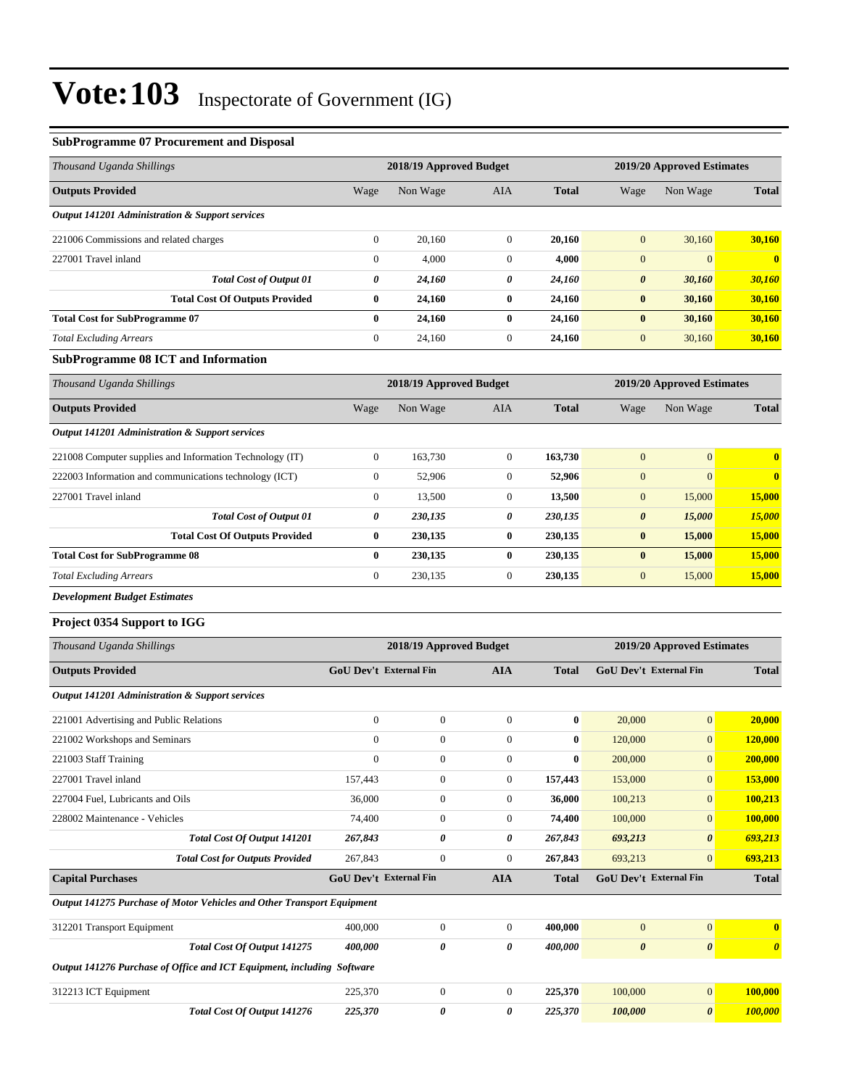### **SubProgramme 07 Procurement and Disposal**

| Thousand Uganda Shillings                                              |                        | 2018/19 Approved Budget |                  |              |                  | 2019/20 Approved Estimates |                  |  |
|------------------------------------------------------------------------|------------------------|-------------------------|------------------|--------------|------------------|----------------------------|------------------|--|
| <b>Outputs Provided</b>                                                | Wage                   | Non Wage                | AIA              | <b>Total</b> | Wage             | Non Wage                   | <b>Total</b>     |  |
| <b>Output 141201 Administration &amp; Support services</b>             |                        |                         |                  |              |                  |                            |                  |  |
| 221006 Commissions and related charges                                 | $\boldsymbol{0}$       | 20,160                  | $\mathbf{0}$     | 20,160       | $\mathbf{0}$     | 30,160                     | 30,160           |  |
| 227001 Travel inland                                                   | $\boldsymbol{0}$       | 4,000                   | $\mathbf{0}$     | 4,000        | $\boldsymbol{0}$ | $\boldsymbol{0}$           | $\mathbf{0}$     |  |
| <b>Total Cost of Output 01</b>                                         | 0                      | 24,160                  | 0                | 24,160       | 0                | 30,160                     | 30,160           |  |
| <b>Total Cost Of Outputs Provided</b>                                  | 0                      | 24,160                  | $\bf{0}$         | 24,160       | $\bf{0}$         | 30,160                     | 30,160           |  |
| <b>Total Cost for SubProgramme 07</b>                                  | $\bf{0}$               | 24,160                  | $\bf{0}$         | 24,160       | $\bf{0}$         | 30,160                     | 30,160           |  |
| <b>Total Excluding Arrears</b>                                         | $\boldsymbol{0}$       | 24,160                  | $\mathbf{0}$     | 24,160       | $\boldsymbol{0}$ | 30,160                     | 30,160           |  |
| <b>SubProgramme 08 ICT and Information</b>                             |                        |                         |                  |              |                  |                            |                  |  |
| Thousand Uganda Shillings                                              |                        | 2018/19 Approved Budget |                  |              |                  | 2019/20 Approved Estimates |                  |  |
| <b>Outputs Provided</b>                                                | Wage                   | Non Wage                | AIA              | <b>Total</b> | Wage             | Non Wage                   | <b>Total</b>     |  |
| <b>Output 141201 Administration &amp; Support services</b>             |                        |                         |                  |              |                  |                            |                  |  |
| 221008 Computer supplies and Information Technology (IT)               | $\boldsymbol{0}$       | 163,730                 | $\mathbf{0}$     | 163,730      | $\boldsymbol{0}$ | $\mathbf{0}$               | $\bf{0}$         |  |
| 222003 Information and communications technology (ICT)                 | $\boldsymbol{0}$       | 52,906                  | $\mathbf{0}$     | 52,906       | $\boldsymbol{0}$ | $\boldsymbol{0}$           | $\bf{0}$         |  |
| 227001 Travel inland                                                   | $\boldsymbol{0}$       | 13,500                  | $\boldsymbol{0}$ | 13,500       | $\mathbf{0}$     | 15,000                     | 15,000           |  |
| <b>Total Cost of Output 01</b>                                         | 0                      | 230,135                 | 0                | 230,135      | $\pmb{\theta}$   | 15,000                     | <b>15,000</b>    |  |
| <b>Total Cost Of Outputs Provided</b>                                  | 0                      | 230,135                 | $\bf{0}$         | 230,135      | $\bf{0}$         | 15,000                     | 15,000           |  |
| <b>Total Cost for SubProgramme 08</b>                                  | 0                      | 230,135                 | $\bf{0}$         | 230,135      | $\bf{0}$         | 15,000                     | 15,000           |  |
| <b>Total Excluding Arrears</b>                                         | $\boldsymbol{0}$       | 230,135                 | $\boldsymbol{0}$ | 230,135      | $\mathbf{0}$     | 15,000                     | <b>15,000</b>    |  |
| <b>Development Budget Estimates</b>                                    |                        |                         |                  |              |                  |                            |                  |  |
| Project 0354 Support to IGG                                            |                        |                         |                  |              |                  |                            |                  |  |
| Thousand Uganda Shillings                                              |                        | 2018/19 Approved Budget |                  |              |                  | 2019/20 Approved Estimates |                  |  |
| <b>Outputs Provided</b>                                                | GoU Dev't External Fin |                         | <b>AIA</b>       | <b>Total</b> |                  | GoU Dev't External Fin     | <b>Total</b>     |  |
| <b>Output 141201 Administration &amp; Support services</b>             |                        |                         |                  |              |                  |                            |                  |  |
| 221001 Advertising and Public Relations                                | $\boldsymbol{0}$       | $\boldsymbol{0}$        | $\mathbf{0}$     | $\bf{0}$     | 20,000           | $\boldsymbol{0}$           | 20,000           |  |
| 221002 Workshops and Seminars                                          | $\boldsymbol{0}$       | $\boldsymbol{0}$        | $\mathbf{0}$     | $\bf{0}$     | 120,000          | $\boldsymbol{0}$           | <b>120,000</b>   |  |
| 221003 Staff Training                                                  | $\overline{0}$         | $\mathbf{0}$            | $\Omega$         | $\bf{0}$     | 200,000          | $\overline{0}$             | 200,000          |  |
| 227001 Travel inland                                                   | 157,443                | $\boldsymbol{0}$        | $\mathbf{0}$     | 157,443      | 153,000          | $\boldsymbol{0}$           | 153,000          |  |
| 227004 Fuel, Lubricants and Oils                                       | 36,000                 | $\boldsymbol{0}$        | $\boldsymbol{0}$ | 36,000       | 100,213          | $\boldsymbol{0}$           | 100,213          |  |
| 228002 Maintenance - Vehicles                                          | 74,400                 | $\boldsymbol{0}$        | $\boldsymbol{0}$ | 74,400       | 100,000          | $\boldsymbol{0}$           | 100,000          |  |
| Total Cost Of Output 141201                                            | 267,843                | 0                       | 0                | 267,843      | 693,213          | 0                          | 693,213          |  |
| <b>Total Cost for Outputs Provided</b>                                 | 267,843                | $\boldsymbol{0}$        | $\boldsymbol{0}$ | 267,843      | 693,213          | $\mathbf{0}$               | 693,213          |  |
| <b>Capital Purchases</b>                                               | GoU Dev't External Fin |                         | <b>AIA</b>       | <b>Total</b> |                  | GoU Dev't External Fin     | <b>Total</b>     |  |
| Output 141275 Purchase of Motor Vehicles and Other Transport Equipment |                        |                         |                  |              |                  |                            |                  |  |
| 312201 Transport Equipment                                             | 400,000                | $\boldsymbol{0}$        | $\boldsymbol{0}$ | 400,000      | $\boldsymbol{0}$ | $\boldsymbol{0}$           | $\boldsymbol{0}$ |  |

|                      | Total Cost Of Output 141275                                            | 400.000 |  | 400.000 |         | $\theta$ | $\theta$ |
|----------------------|------------------------------------------------------------------------|---------|--|---------|---------|----------|----------|
|                      | Output 141276 Purchase of Office and ICT Equipment, including Software |         |  |         |         |          |          |
| 312213 ICT Equipment |                                                                        | 225,370 |  | 225,370 | 100,000 | 0        | 100,000  |
|                      | Total Cost Of Output 141276                                            | 225,370 |  | 225.370 | 100.000 | $\theta$ | 100,000  |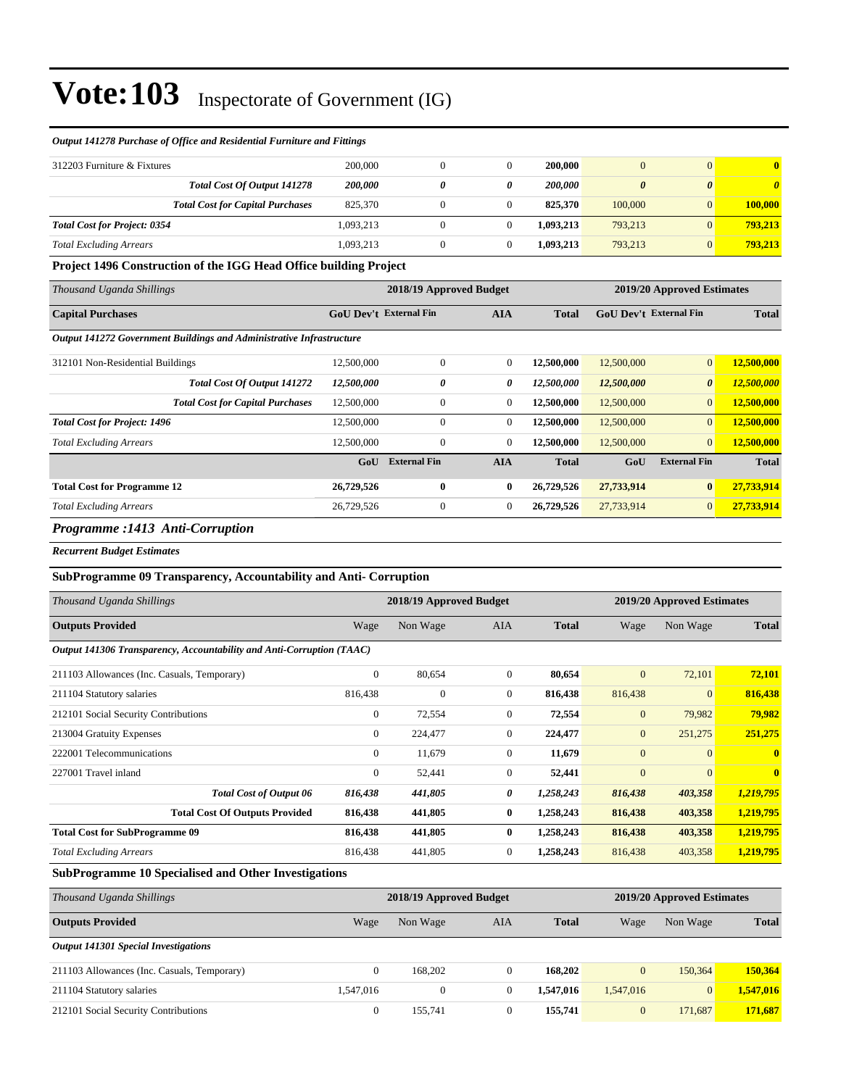| <i><b>Output 1412/6 Purchase of Office and Residential Purniture and Puttings</b></i> |                                         |           |   |  |                |                       |                |         |  |  |
|---------------------------------------------------------------------------------------|-----------------------------------------|-----------|---|--|----------------|-----------------------|----------------|---------|--|--|
| 312203 Furniture & Fixtures                                                           |                                         | 200,000   |   |  | 200,000        |                       | $\Omega$       | o.      |  |  |
|                                                                                       | <b>Total Cost Of Output 141278</b>      | 200,000   | 0 |  | <b>200,000</b> | $\boldsymbol{\theta}$ | 0              |         |  |  |
|                                                                                       | <b>Total Cost for Capital Purchases</b> | 825,370   |   |  | 825,370        | 100,000               | $\overline{0}$ | 100,000 |  |  |
| <b>Total Cost for Project: 0354</b>                                                   |                                         | 1.093.213 |   |  | 1.093.213      | 793,213               |                | 793.213 |  |  |
| <b>Total Excluding Arrears</b>                                                        |                                         | 1,093,213 |   |  | 1.093.213      | 793,213               |                | 793,213 |  |  |

## *Output 141278 Purchase of Office and Residential Furniture and Fittings*

### **Project 1496 Construction of the IGG Head Office building Project**

| Thousand Uganda Shillings                                            |            | 2018/19 Approved Budget       |                                                             |              | 2019/20 Approved Estimates |                       |              |  |  |
|----------------------------------------------------------------------|------------|-------------------------------|-------------------------------------------------------------|--------------|----------------------------|-----------------------|--------------|--|--|
| <b>Capital Purchases</b>                                             |            | <b>GoU Dev't External Fin</b> | <b>AIA</b><br><b>Total</b><br><b>GoU</b> Dev't External Fin |              |                            | <b>Total</b>          |              |  |  |
| Output 141272 Government Buildings and Administrative Infrastructure |            |                               |                                                             |              |                            |                       |              |  |  |
| 312101 Non-Residential Buildings                                     | 12,500,000 | $\mathbf{0}$                  | $\overline{0}$                                              | 12,500,000   | 12,500,000                 | $\overline{0}$        | 12,500,000   |  |  |
| Total Cost Of Output 141272                                          | 12,500,000 | 0                             | 0                                                           | 12,500,000   | 12,500,000                 | $\boldsymbol{\theta}$ | 12,500,000   |  |  |
| <b>Total Cost for Capital Purchases</b>                              | 12,500,000 | $\mathbf{0}$                  | $\overline{0}$                                              | 12,500,000   | 12,500,000                 | $\mathbf{0}$          | 12,500,000   |  |  |
| <b>Total Cost for Project: 1496</b>                                  | 12,500,000 | $\mathbf{0}$                  | $\overline{0}$                                              | 12,500,000   | 12,500,000                 | $\overline{0}$        | 12,500,000   |  |  |
| <b>Total Excluding Arrears</b>                                       | 12,500,000 | $\mathbf{0}$                  | $\overline{0}$                                              | 12,500,000   | 12,500,000                 | $\overline{0}$        | 12,500,000   |  |  |
|                                                                      | GoU        | <b>External Fin</b>           | <b>AIA</b>                                                  | <b>Total</b> | GoU                        | <b>External Fin</b>   | <b>Total</b> |  |  |
| <b>Total Cost for Programme 12</b>                                   | 26,729,526 | $\bf{0}$                      | $\bf{0}$                                                    | 26,729,526   | 27,733,914                 | $\bf{0}$              | 27,733,914   |  |  |
| <b>Total Excluding Arrears</b>                                       | 26,729,526 | $\boldsymbol{0}$              | $\overline{0}$                                              | 26,729,526   | 27,733,914                 | $\mathbf{0}$          | 27,733,914   |  |  |
|                                                                      |            |                               |                                                             |              |                            |                       |              |  |  |

## *Programme :1413 Anti-Corruption*

*Recurrent Budget Estimates*

### **SubProgramme 09 Transparency, Accountability and Anti- Corruption**

| Thousand Uganda Shillings                                             | 2018/19 Approved Budget |              |              |              |                | 2019/20 Approved Estimates |              |
|-----------------------------------------------------------------------|-------------------------|--------------|--------------|--------------|----------------|----------------------------|--------------|
| <b>Outputs Provided</b>                                               | Wage                    | Non Wage     | <b>AIA</b>   | <b>Total</b> | Wage           | Non Wage                   | <b>Total</b> |
| Output 141306 Transparency, Accountability and Anti-Corruption (TAAC) |                         |              |              |              |                |                            |              |
| 211103 Allowances (Inc. Casuals, Temporary)                           | $\boldsymbol{0}$        | 80,654       | $\mathbf{0}$ | 80,654       | $\mathbf{0}$   | 72,101                     | 72,101       |
| 211104 Statutory salaries                                             | 816,438                 | $\mathbf{0}$ | $\mathbf{0}$ | 816,438      | 816,438        | $\overline{0}$             | 816,438      |
| 212101 Social Security Contributions                                  | $\mathbf{0}$            | 72,554       | $\mathbf{0}$ | 72,554       | $\mathbf{0}$   | 79,982                     | 79,982       |
| 213004 Gratuity Expenses                                              | $\mathbf{0}$            | 224,477      | $\mathbf{0}$ | 224,477      | $\mathbf{0}$   | 251,275                    | 251,275      |
| 222001 Telecommunications                                             | $\mathbf{0}$            | 11,679       | $\Omega$     | 11,679       | $\mathbf{0}$   | $\overline{0}$             | $\mathbf{0}$ |
| 227001 Travel inland                                                  | $\mathbf{0}$            | 52,441       | $\mathbf{0}$ | 52,441       | $\overline{0}$ | $\overline{0}$             | $\mathbf{0}$ |
| <b>Total Cost of Output 06</b>                                        | 816,438                 | 441,805      | 0            | 1,258,243    | 816,438        | 403,358                    | 1,219,795    |
| <b>Total Cost Of Outputs Provided</b>                                 | 816,438                 | 441,805      | 0            | 1,258,243    | 816,438        | 403,358                    | 1,219,795    |
| <b>Total Cost for SubProgramme 09</b>                                 | 816,438                 | 441,805      | 0            | 1,258,243    | 816,438        | 403,358                    | 1,219,795    |
| <b>Total Excluding Arrears</b>                                        | 816,438                 | 441,805      | $\Omega$     | 1,258,243    | 816,438        | 403,358                    | 1,219,795    |

#### **SubProgramme 10 Specialised and Other Investigations**

| Thousand Uganda Shillings                   |           | 2018/19 Approved Budget |          | 2019/20 Approved Estimates |              |                |              |
|---------------------------------------------|-----------|-------------------------|----------|----------------------------|--------------|----------------|--------------|
| <b>Outputs Provided</b>                     | Wage      | Non Wage                | AIA      | <b>Total</b>               | Wage         | Non Wage       | <b>Total</b> |
| <b>Output 141301 Special Investigations</b> |           |                         |          |                            |              |                |              |
| 211103 Allowances (Inc. Casuals, Temporary) | $\Omega$  | 168,202                 |          | 168,202                    | $\mathbf{0}$ | 150.364        | 150,364      |
| 211104 Statutory salaries                   | 1.547.016 | 0                       |          | 1.547.016                  | 1.547,016    | $\overline{0}$ | 1,547,016    |
| 212101 Social Security Contributions        | $\Omega$  | 155.741                 | $\Omega$ | 155,741                    | $\mathbf{0}$ | 171.687        | 171.687      |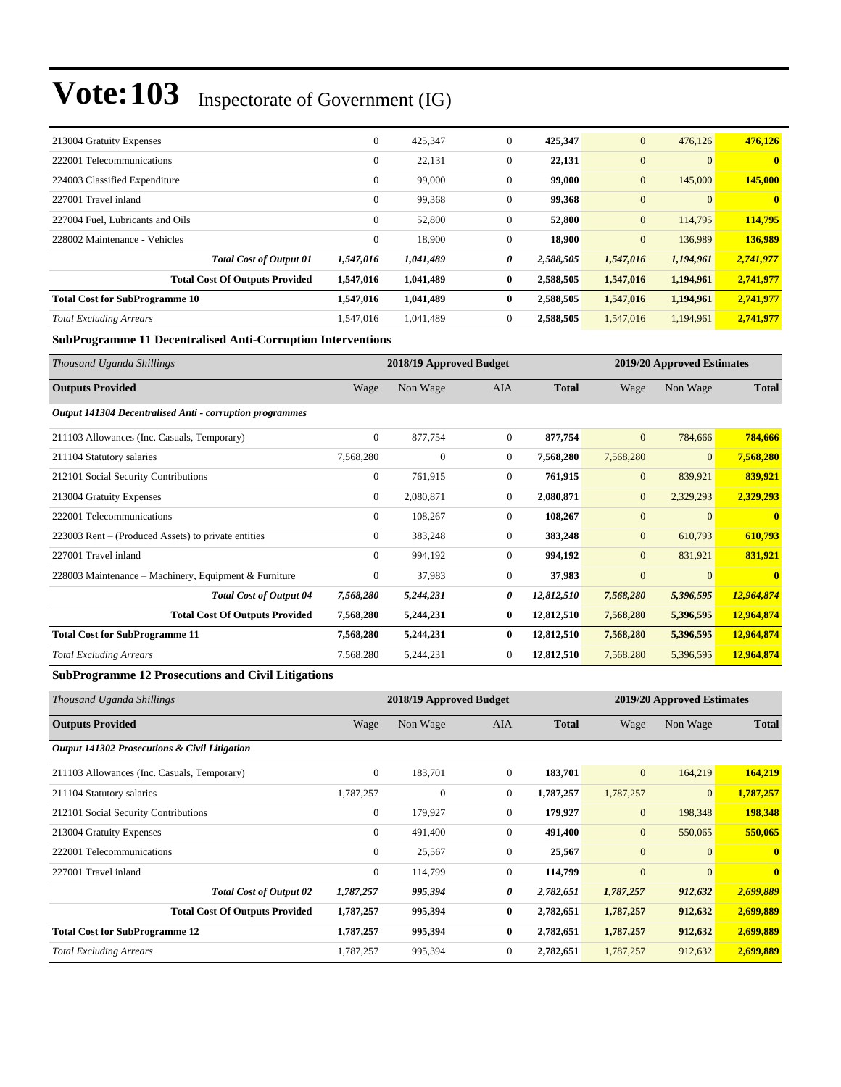| 213004 Gratuity Expenses              | $\mathbf{0}$ | 425,347   | $\mathbf{0}$ | 425,347   | $\mathbf{0}$ | 476,126        | 476,126      |
|---------------------------------------|--------------|-----------|--------------|-----------|--------------|----------------|--------------|
| 222001 Telecommunications             | $\mathbf{0}$ | 22,131    | $\mathbf{0}$ | 22,131    | $\mathbf{0}$ | $\overline{0}$ | $\mathbf{0}$ |
| 224003 Classified Expenditure         | $\mathbf{0}$ | 99,000    | $\mathbf{0}$ | 99,000    | $\mathbf{0}$ | 145,000        | 145,000      |
| 227001 Travel inland                  | $\mathbf{0}$ | 99,368    | $\mathbf{0}$ | 99,368    | $\mathbf{0}$ | $\overline{0}$ | $\mathbf{0}$ |
| 227004 Fuel, Lubricants and Oils      | $\mathbf{0}$ | 52,800    | $\mathbf{0}$ | 52,800    | $\mathbf{0}$ | 114,795        | 114,795      |
| 228002 Maintenance - Vehicles         | $\mathbf{0}$ | 18,900    | $\mathbf{0}$ | 18,900    | $\mathbf{0}$ | 136,989        | 136,989      |
| <b>Total Cost of Output 01</b>        | 1,547,016    | 1,041,489 | 0            | 2,588,505 | 1,547,016    | 1,194,961      | 2,741,977    |
| <b>Total Cost Of Outputs Provided</b> | 1,547,016    | 1,041,489 | $\bf{0}$     | 2,588,505 | 1,547,016    | 1,194,961      | 2,741,977    |
| <b>Total Cost for SubProgramme 10</b> | 1,547,016    | 1,041,489 | $\bf{0}$     | 2,588,505 | 1,547,016    | 1,194,961      | 2,741,977    |
| <b>Total Excluding Arrears</b>        | 1.547.016    | 1,041,489 | $\mathbf{0}$ | 2,588,505 | 1,547,016    | 1,194,961      | 2,741,977    |

## **SubProgramme 11 Decentralised Anti-Corruption Interventions**

| Thousand Uganda Shillings                                | 2018/19 Approved Budget |              |                |              |                | 2019/20 Approved Estimates |              |  |
|----------------------------------------------------------|-------------------------|--------------|----------------|--------------|----------------|----------------------------|--------------|--|
| <b>Outputs Provided</b>                                  | Wage                    | Non Wage     | AIA            | <b>Total</b> | Wage           | Non Wage                   | <b>Total</b> |  |
| Output 141304 Decentralised Anti - corruption programmes |                         |              |                |              |                |                            |              |  |
| 211103 Allowances (Inc. Casuals, Temporary)              | $\overline{0}$          | 877,754      | $\overline{0}$ | 877,754      | $\mathbf{0}$   | 784,666                    | 784,666      |  |
| 211104 Statutory salaries                                | 7,568,280               | $\mathbf{0}$ | $\mathbf{0}$   | 7,568,280    | 7,568,280      | $\overline{0}$             | 7,568,280    |  |
| 212101 Social Security Contributions                     | $\overline{0}$          | 761,915      | $\mathbf{0}$   | 761,915      | $\mathbf{0}$   | 839,921                    | 839,921      |  |
| 213004 Gratuity Expenses                                 | $\overline{0}$          | 2,080,871    | $\overline{0}$ | 2,080,871    | $\mathbf{0}$   | 2,329,293                  | 2,329,293    |  |
| 222001 Telecommunications                                | $\overline{0}$          | 108,267      | $\overline{0}$ | 108,267      | $\mathbf{0}$   | $\overline{0}$             | $\mathbf{0}$ |  |
| 223003 Rent – (Produced Assets) to private entities      | $\mathbf{0}$            | 383,248      | $\mathbf{0}$   | 383,248      | $\mathbf{0}$   | 610,793                    | 610,793      |  |
| 227001 Travel inland                                     | $\overline{0}$          | 994,192      | $\overline{0}$ | 994,192      | $\mathbf{0}$   | 831,921                    | 831,921      |  |
| 228003 Maintenance – Machinery, Equipment & Furniture    | $\overline{0}$          | 37,983       | $\overline{0}$ | 37,983       | $\overline{0}$ | $\overline{0}$             | $\mathbf{0}$ |  |
| <b>Total Cost of Output 04</b>                           | 7,568,280               | 5,244,231    | 0              | 12,812,510   | 7,568,280      | 5,396,595                  | 12,964,874   |  |
| <b>Total Cost Of Outputs Provided</b>                    | 7,568,280               | 5,244,231    | $\bf{0}$       | 12,812,510   | 7,568,280      | 5,396,595                  | 12,964,874   |  |
| <b>Total Cost for SubProgramme 11</b>                    | 7,568,280               | 5,244,231    | $\bf{0}$       | 12,812,510   | 7,568,280      | 5,396,595                  | 12,964,874   |  |
| <b>Total Excluding Arrears</b>                           | 7,568,280               | 5,244,231    | $\theta$       | 12,812,510   | 7,568,280      | 5,396,595                  | 12,964,874   |  |

### **SubProgramme 12 Prosecutions and Civil Litigations**

| Thousand Uganda Shillings                                |                | 2018/19 Approved Budget |                |              | 2019/20 Approved Estimates |              |              |
|----------------------------------------------------------|----------------|-------------------------|----------------|--------------|----------------------------|--------------|--------------|
| <b>Outputs Provided</b>                                  | Wage           | Non Wage                | AIA            | <b>Total</b> | Wage                       | Non Wage     | <b>Total</b> |
| <b>Output 141302 Prosecutions &amp; Civil Litigation</b> |                |                         |                |              |                            |              |              |
| 211103 Allowances (Inc. Casuals, Temporary)              | $\overline{0}$ | 183,701                 | $\overline{0}$ | 183,701      | $\overline{0}$             | 164,219      | 164,219      |
| 211104 Statutory salaries                                | 1,787,257      | $\mathbf{0}$            | $\overline{0}$ | 1,787,257    | 1,787,257                  | $\mathbf{0}$ | 1,787,257    |
| 212101 Social Security Contributions                     | $\overline{0}$ | 179,927                 | $\overline{0}$ | 179,927      | $\overline{0}$             | 198,348      | 198,348      |
| 213004 Gratuity Expenses                                 | $\overline{0}$ | 491,400                 | $\overline{0}$ | 491,400      | $\mathbf{0}$               | 550,065      | 550,065      |
| 222001 Telecommunications                                | $\overline{0}$ | 25,567                  | $\overline{0}$ | 25,567       | $\mathbf{0}$               | $\Omega$     | $\mathbf{0}$ |
| 227001 Travel inland                                     | $\overline{0}$ | 114,799                 | $\overline{0}$ | 114,799      | $\overline{0}$             | $\Omega$     | $\mathbf{0}$ |
| <b>Total Cost of Output 02</b>                           | 1,787,257      | 995,394                 | 0              | 2,782,651    | 1,787,257                  | 912,632      | 2,699,889    |
| <b>Total Cost Of Outputs Provided</b>                    | 1,787,257      | 995,394                 | $\bf{0}$       | 2,782,651    | 1,787,257                  | 912,632      | 2,699,889    |
| <b>Total Cost for SubProgramme 12</b>                    | 1,787,257      | 995,394                 | $\bf{0}$       | 2,782,651    | 1,787,257                  | 912,632      | 2,699,889    |
| <b>Total Excluding Arrears</b>                           | 1,787,257      | 995,394                 | $\overline{0}$ | 2,782,651    | 1,787,257                  | 912,632      | 2,699,889    |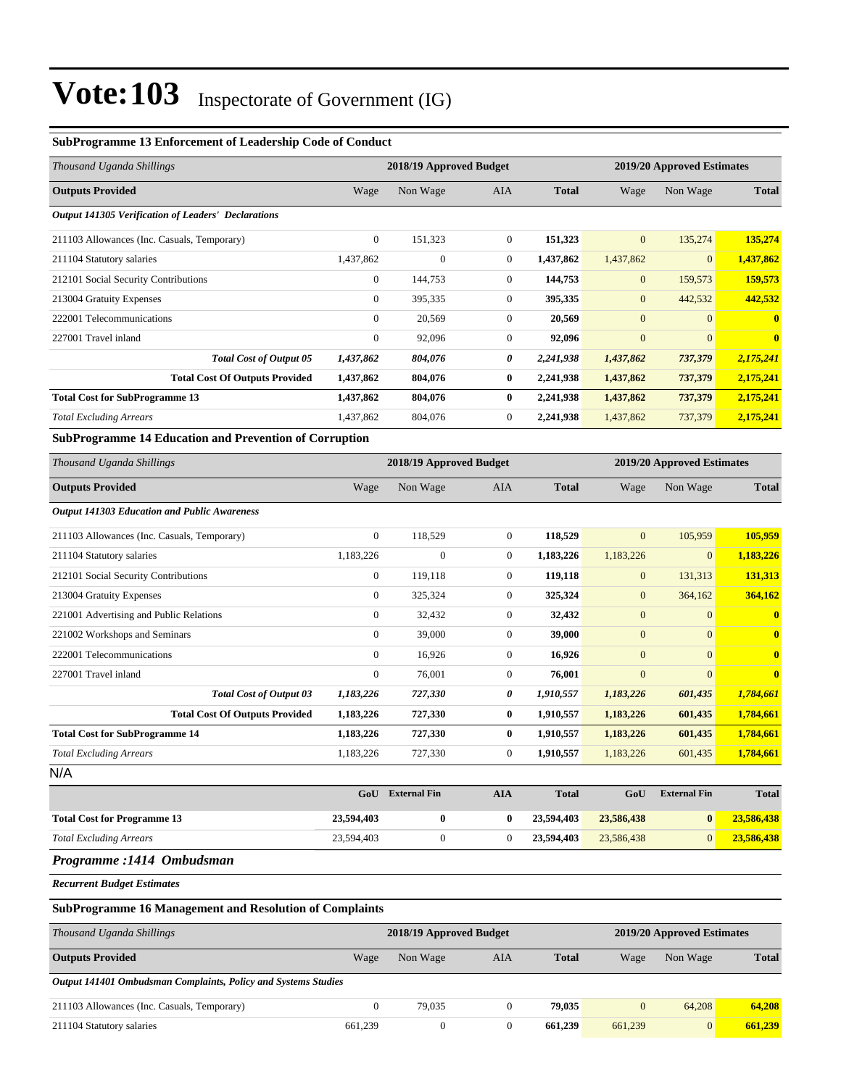## **SubProgramme 13 Enforcement of Leadership Code of Conduct**

| Thousand Uganda Shillings                                  | 2018/19 Approved Budget<br>2019/20 Approved Estimates |              |                |              |                |                 |              |
|------------------------------------------------------------|-------------------------------------------------------|--------------|----------------|--------------|----------------|-----------------|--------------|
| <b>Outputs Provided</b>                                    | Wage                                                  | Non Wage     | <b>AIA</b>     | <b>Total</b> | Wage           | Non Wage        | <b>Total</b> |
| <b>Output 141305 Verification of Leaders' Declarations</b> |                                                       |              |                |              |                |                 |              |
| 211103 Allowances (Inc. Casuals, Temporary)                | $\overline{0}$                                        | 151,323      | $\Omega$       | 151,323      | $\overline{0}$ | 135,274         | 135,274      |
| 211104 Statutory salaries                                  | 1,437,862                                             | $\mathbf{0}$ | $\overline{0}$ | 1,437,862    | 1,437,862      | $\vert 0 \vert$ | 1,437,862    |
| 212101 Social Security Contributions                       | $\mathbf{0}$                                          | 144,753      | $\overline{0}$ | 144,753      | $\mathbf{0}$   | 159,573         | 159,573      |
| 213004 Gratuity Expenses                                   | $\mathbf{0}$                                          | 395,335      | $\theta$       | 395,335      | $\mathbf{0}$   | 442,532         | 442,532      |
| 222001 Telecommunications                                  | $\mathbf{0}$                                          | 20,569       | $\overline{0}$ | 20,569       | $\mathbf{0}$   | $\vert 0 \vert$ | $\mathbf{0}$ |
| 227001 Travel inland                                       | $\mathbf{0}$                                          | 92,096       | $\overline{0}$ | 92,096       | $\overline{0}$ | $\overline{0}$  | $\mathbf{0}$ |
| <b>Total Cost of Output 05</b>                             | 1,437,862                                             | 804,076      | 0              | 2,241,938    | 1,437,862      | 737,379         | 2,175,241    |
| <b>Total Cost Of Outputs Provided</b>                      | 1,437,862                                             | 804,076      | $\bf{0}$       | 2,241,938    | 1,437,862      | 737,379         | 2,175,241    |
| <b>Total Cost for SubProgramme 13</b>                      | 1,437,862                                             | 804,076      | $\bf{0}$       | 2,241,938    | 1,437,862      | 737,379         | 2,175,241    |
| <b>Total Excluding Arrears</b>                             | 1,437,862                                             | 804,076      | $\overline{0}$ | 2,241,938    | 1,437,862      | 737,379         | 2,175,241    |

### **SubProgramme 14 Education and Prevention of Corruption**

| Thousand Uganda Shillings                           | 2018/19 Approved Budget |                |                |              | 2019/20 Approved Estimates |                |                         |
|-----------------------------------------------------|-------------------------|----------------|----------------|--------------|----------------------------|----------------|-------------------------|
| <b>Outputs Provided</b>                             | Wage                    | Non Wage       | AIA            | <b>Total</b> | Wage                       | Non Wage       | <b>Total</b>            |
| <b>Output 141303 Education and Public Awareness</b> |                         |                |                |              |                            |                |                         |
| 211103 Allowances (Inc. Casuals, Temporary)         | $\mathbf{0}$            | 118,529        | $\overline{0}$ | 118,529      | $\mathbf{0}$               | 105,959        | 105,959                 |
| 211104 Statutory salaries                           | 1,183,226               | $\overline{0}$ | $\overline{0}$ | 1,183,226    | 1,183,226                  | $\overline{0}$ | 1,183,226               |
| 212101 Social Security Contributions                | $\boldsymbol{0}$        | 119,118        | $\overline{0}$ | 119,118      | $\mathbf{0}$               | 131,313        | 131,313                 |
| 213004 Gratuity Expenses                            | $\mathbf{0}$            | 325,324        | $\overline{0}$ | 325,324      | $\mathbf{0}$               | 364,162        | 364,162                 |
| 221001 Advertising and Public Relations             | $\mathbf{0}$            | 32,432         | $\overline{0}$ | 32,432       | $\mathbf{0}$               | $\overline{0}$ | $\overline{\mathbf{0}}$ |
| 221002 Workshops and Seminars                       | $\mathbf{0}$            | 39,000         | $\overline{0}$ | 39,000       | $\mathbf{0}$               | $\Omega$       | $\overline{\mathbf{0}}$ |
| 222001 Telecommunications                           | $\overline{0}$          | 16,926         | $\overline{0}$ | 16,926       | $\mathbf{0}$               | $\overline{0}$ | $\overline{\mathbf{0}}$ |
| 227001 Travel inland                                | $\mathbf{0}$            | 76,001         | $\overline{0}$ | 76,001       | $\mathbf{0}$               | $\overline{0}$ | $\overline{\mathbf{0}}$ |
| <b>Total Cost of Output 03</b>                      | 1,183,226               | 727,330        | 0              | 1,910,557    | 1,183,226                  | 601,435        | 1,784,661               |
| <b>Total Cost Of Outputs Provided</b>               | 1,183,226               | 727,330        | $\bf{0}$       | 1,910,557    | 1,183,226                  | 601,435        | 1,784,661               |
| <b>Total Cost for SubProgramme 14</b>               | 1,183,226               | 727,330        | $\bf{0}$       | 1,910,557    | 1,183,226                  | 601,435        | 1,784,661               |
| <b>Total Excluding Arrears</b>                      | 1,183,226               | 727,330        | $\overline{0}$ | 1,910,557    | 1,183,226                  | 601,435        | 1,784,661               |
| N/A                                                 |                         |                |                |              |                            |                |                         |

|                                                  |            |            | <b>External Fin</b> | <b>Total</b> |
|--------------------------------------------------|------------|------------|---------------------|--------------|
| 23,594,403<br><b>Total Cost for Programme 13</b> | 23,594,403 | 23.586.438 | $\bf{0}$            | 23,586,438   |
| 23,594,403<br><b>Total Excluding Arrears</b>     | 23,594,403 | 23,586,438 |                     | 23,586,438   |
|                                                  |            |            |                     |              |

### *Programme :1414 Ombudsman*

*Recurrent Budget Estimates*

#### **SubProgramme 16 Management and Resolution of Complaints**

| Thousand Uganda Shillings                                      |          | 2018/19 Approved Budget |     |              |                | 2019/20 Approved Estimates |              |  |
|----------------------------------------------------------------|----------|-------------------------|-----|--------------|----------------|----------------------------|--------------|--|
| <b>Outputs Provided</b>                                        | Wage     | Non Wage                | AIA | <b>Total</b> | Wage           | Non Wage                   | <b>Total</b> |  |
| Output 141401 Ombudsman Complaints, Policy and Systems Studies |          |                         |     |              |                |                            |              |  |
| 211103 Allowances (Inc. Casuals, Temporary)                    | $\Omega$ | 79.035                  |     | 79,035       | $\overline{0}$ | 64.208                     | 64.208       |  |
| 211104 Statutory salaries                                      | 661,239  | 0                       |     | 661.239      | 661,239        | $\overline{0}$             | 661.239      |  |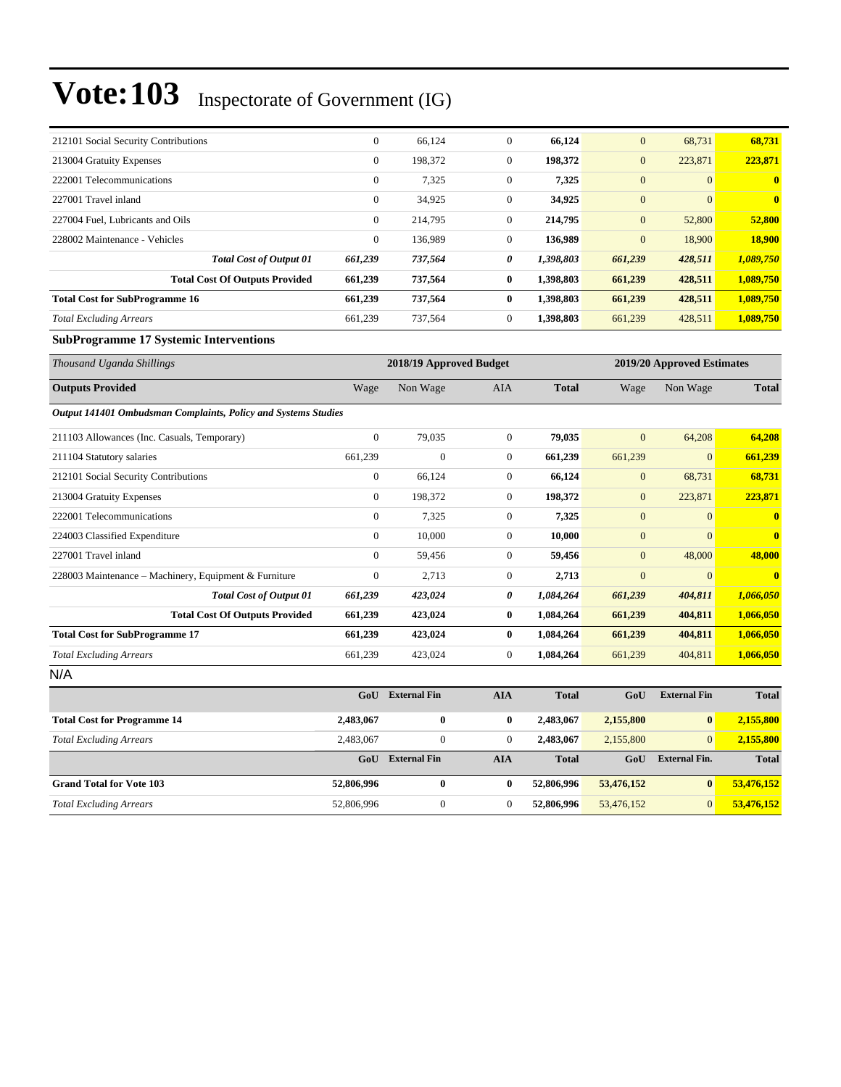| 212101 Social Security Contributions  | $\mathbf{0}$   | 66,124  | $\Omega$       | 66,124    | $\mathbf{0}$     | 68,731         | 68,731       |
|---------------------------------------|----------------|---------|----------------|-----------|------------------|----------------|--------------|
| 213004 Gratuity Expenses              | $\mathbf{0}$   | 198,372 | $\mathbf{0}$   | 198,372   | $\boldsymbol{0}$ | 223,871        | 223,871      |
| 222001 Telecommunications             | $\mathbf{0}$   | 7,325   | $\mathbf{0}$   | 7,325     | $\mathbf{0}$     | $\overline{0}$ | $\mathbf{0}$ |
| 227001 Travel inland                  | $\mathbf{0}$   | 34,925  | $\mathbf{0}$   | 34,925    | $\mathbf{0}$     | $\Omega$       | $\mathbf{0}$ |
| 227004 Fuel, Lubricants and Oils      | $\mathbf{0}$   | 214,795 | $\overline{0}$ | 214,795   | $\overline{0}$   | 52,800         | 52,800       |
| 228002 Maintenance - Vehicles         | $\overline{0}$ | 136.989 | $\Omega$       | 136,989   | $\mathbf{0}$     | 18,900         | 18.900       |
| <b>Total Cost of Output 01</b>        | 661,239        | 737,564 | 0              | 1,398,803 | 661,239          | 428,511        | 1,089,750    |
| <b>Total Cost Of Outputs Provided</b> | 661,239        | 737,564 | $\bf{0}$       | 1,398,803 | 661,239          | 428,511        | 1,089,750    |
| <b>Total Cost for SubProgramme 16</b> | 661,239        | 737,564 | $\mathbf{0}$   | 1,398,803 | 661,239          | 428,511        | 1,089,750    |
| <b>Total Excluding Arrears</b>        | 661,239        | 737,564 | $\mathbf{0}$   | 1.398.803 | 661,239          | 428,511        | 1,089,750    |

## **SubProgramme 17 Systemic Interventions**

| Thousand Uganda Shillings                                      |                  | 2018/19 Approved Budget |                  |              |                  | 2019/20 Approved Estimates |                         |
|----------------------------------------------------------------|------------------|-------------------------|------------------|--------------|------------------|----------------------------|-------------------------|
| <b>Outputs Provided</b>                                        | Wage             | Non Wage                | <b>AIA</b>       | <b>Total</b> | Wage             | Non Wage                   | <b>Total</b>            |
| Output 141401 Ombudsman Complaints, Policy and Systems Studies |                  |                         |                  |              |                  |                            |                         |
| 211103 Allowances (Inc. Casuals, Temporary)                    | $\mathbf{0}$     | 79,035                  | $\overline{0}$   | 79,035       | $\overline{0}$   | 64,208                     | 64,208                  |
| 211104 Statutory salaries                                      | 661,239          | $\mathbf{0}$            | $\overline{0}$   | 661,239      | 661,239          | $\overline{0}$             | 661,239                 |
| 212101 Social Security Contributions                           | 0                | 66,124                  | $\boldsymbol{0}$ | 66,124       | $\mathbf{0}$     | 68,731                     | 68,731                  |
| 213004 Gratuity Expenses                                       | 0                | 198,372                 | $\overline{0}$   | 198,372      | $\mathbf{0}$     | 223,871                    | 223,871                 |
| 222001 Telecommunications                                      | $\overline{0}$   | 7,325                   | $\overline{0}$   | 7,325        | $\overline{0}$   | $\overline{0}$             | $\overline{\mathbf{0}}$ |
| 224003 Classified Expenditure                                  | $\overline{0}$   | 10,000                  | $\overline{0}$   | 10,000       | $\boldsymbol{0}$ | $\overline{0}$             | $\mathbf{0}$            |
| 227001 Travel inland                                           | $\overline{0}$   | 59,456                  | $\overline{0}$   | 59,456       | $\mathbf{0}$     | 48,000                     | 48,000                  |
| 228003 Maintenance - Machinery, Equipment & Furniture          | $\boldsymbol{0}$ | 2,713                   | $\mathbf{0}$     | 2,713        | $\boldsymbol{0}$ | $\mathbf{0}$               | $\mathbf{0}$            |
| <b>Total Cost of Output 01</b>                                 | 661,239          | 423,024                 | 0                | 1,084,264    | 661,239          | 404,811                    | 1,066,050               |
| <b>Total Cost Of Outputs Provided</b>                          | 661,239          | 423,024                 | $\bf{0}$         | 1,084,264    | 661,239          | 404,811                    | 1,066,050               |
| <b>Total Cost for SubProgramme 17</b>                          | 661,239          | 423,024                 | $\bf{0}$         | 1,084,264    | 661,239          | 404,811                    | 1,066,050               |
| <b>Total Excluding Arrears</b>                                 | 661,239          | 423,024                 | $\overline{0}$   | 1,084,264    | 661,239          | 404,811                    | 1,066,050               |
| N/A                                                            |                  |                         |                  |              |                  |                            |                         |
|                                                                | GoU              | <b>External Fin</b>     | <b>AIA</b>       | <b>Total</b> | GoU              | <b>External Fin</b>        | <b>Total</b>            |
| <b>Total Cost for Programme 14</b>                             | 2,483,067        | 0                       | $\bf{0}$         | 2,483,067    | 2,155,800        | $\bf{0}$                   | 2,155,800               |
| <b>Total Excluding Arrears</b>                                 | 2,483,067        | $\boldsymbol{0}$        | $\Omega$         | 2,483,067    | 2,155,800        | $\Omega$                   | 2,155,800               |
|                                                                | GoU              | <b>External Fin</b>     | <b>AIA</b>       | <b>Total</b> | GoU              | <b>External Fin.</b>       | <b>Total</b>            |

**Grand Total for Vote 103 52,806,996 0 0 52,806,996 53,476,152 0 53,476,152** *Total Excluding Arrears* 52,806,996 0 0 **52,806,996** 53,476,152 0 **53,476,152**